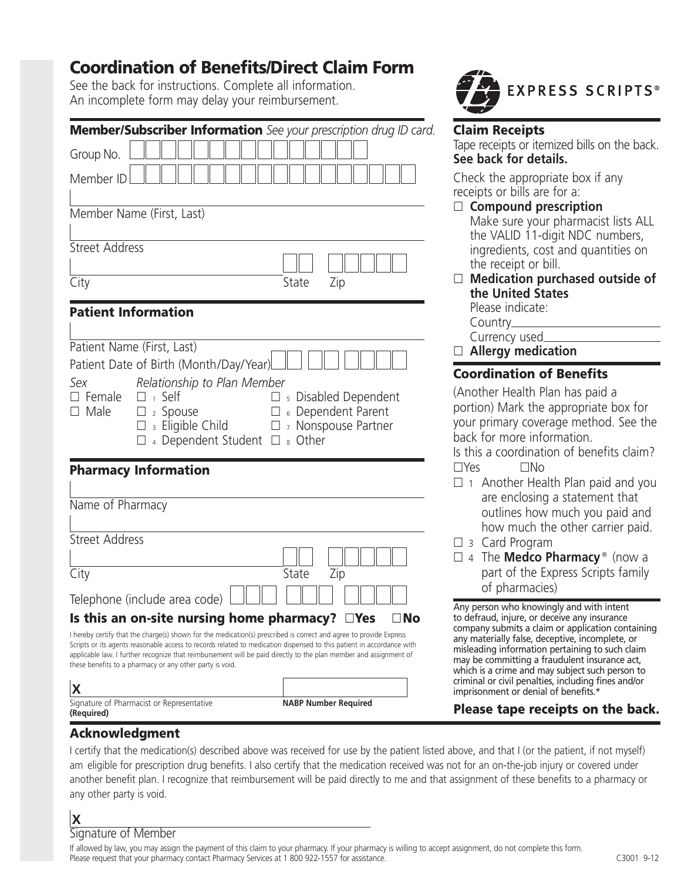# **Coordination of Benefits/Direct Claim Form**

See the back for instructions. Complete all information. An incomplete form may delay your reimbursement.

| Member/Subscriber Information See your prescription drug ID card.<br>Group No.<br>Member ID                                                                                                                                                                        |                                                                                                                                                                                                                                                                                                                                                                  |                           |  |
|--------------------------------------------------------------------------------------------------------------------------------------------------------------------------------------------------------------------------------------------------------------------|------------------------------------------------------------------------------------------------------------------------------------------------------------------------------------------------------------------------------------------------------------------------------------------------------------------------------------------------------------------|---------------------------|--|
|                                                                                                                                                                                                                                                                    |                                                                                                                                                                                                                                                                                                                                                                  | Member Name (First, Last) |  |
|                                                                                                                                                                                                                                                                    |                                                                                                                                                                                                                                                                                                                                                                  | <b>Street Address</b>     |  |
| City                                                                                                                                                                                                                                                               | State<br>Zip                                                                                                                                                                                                                                                                                                                                                     |                           |  |
| <b>Patient Information</b>                                                                                                                                                                                                                                         |                                                                                                                                                                                                                                                                                                                                                                  |                           |  |
| Patient Name (First, Last)<br>Patient Date of Birth (Month/Day/Year)<br>Relationship to Plan Member<br>Sex<br>$\square$ Female<br>$\Box$ 1 Self<br>$\square$ Male<br>$\square$ 2 Spouse<br>$\square$ 3 Eligible Child<br>$\Box$ 4 Dependent Student $\Box$ 8 Other | $\square$ s Disabled Dependent<br>□ 6 Dependent Parent<br><sup>7</sup> Nonspouse Partner<br>$\Box$                                                                                                                                                                                                                                                               |                           |  |
| <b>Pharmacy Information</b>                                                                                                                                                                                                                                        |                                                                                                                                                                                                                                                                                                                                                                  |                           |  |
| Name of Pharmacy                                                                                                                                                                                                                                                   |                                                                                                                                                                                                                                                                                                                                                                  |                           |  |
| <b>Street Address</b>                                                                                                                                                                                                                                              |                                                                                                                                                                                                                                                                                                                                                                  |                           |  |
| City                                                                                                                                                                                                                                                               | State<br>Zip                                                                                                                                                                                                                                                                                                                                                     |                           |  |
| Telephone (include area code)                                                                                                                                                                                                                                      |                                                                                                                                                                                                                                                                                                                                                                  |                           |  |
| Is this an on-site nursing home pharmacy? $\square$ Yes                                                                                                                                                                                                            | ⊔ IVO                                                                                                                                                                                                                                                                                                                                                            |                           |  |
| these benefits to a pharmacy or any other party is void.                                                                                                                                                                                                           | I hereby certify that the charge(s) shown for the medication(s) prescribed is correct and agree to provide Express<br>Scripts or its agents reasonable access to records related to medication dispensed to this patient in accordance with<br>applicable law. I further recognize that reimbursement will be paid directly to the plan member and assignment of |                           |  |
| X                                                                                                                                                                                                                                                                  |                                                                                                                                                                                                                                                                                                                                                                  |                           |  |
| Signature of Pharmacist or Representative                                                                                                                                                                                                                          | <b>NABP Number Required</b>                                                                                                                                                                                                                                                                                                                                      |                           |  |



### **Claim Receipts**

Tape receipts or itemized bills on the back. **See back for details.**

Check the appropriate box if any receipts or bills are for a:

- □ Compound prescription Make sure your pharmacist lists ALL the VALID 11-digit NDC numbers, ingredients, cost and quantities on the receipt or bill.
- $\Box$  Medication purchased outside of **the United States**  Please indicate:

Country\_ Currency used

- **Allergy medication**

### **Coordination of Benefits**

(Another Health Plan has paid a portion) Mark the appropriate box for your primary coverage method. See the back for more information.

Is this a coordination of benefits claim?  $\square$ Yes  $\square$ No

- □ 1 Another Health Plan paid and you are enclosing a statement that outlines how much you paid and how much the other carrier paid.
- □ 3 Card Program
- 4 The **Medco Pharmacy** ® (now a part of the Express Scripts family of pharmacies)

Any person who knowingly and with intent to defraud, injure, or deceive any insurance company submits a claim or application containing any materially false, deceptive, incomplete, or misleading information pertaining to such claim may be committing a fraudulent insurance act, which is a crime and may subject such person to criminal or civil penalties, including fines and/or imprisonment or denial of benefits.

### **Please tape receipts on the back.**

### **Acknowledgment**

I certify that the medication(s) described above was received for use by the patient listed above, and that I (or the patient, if not myself) am eligible for prescription drug benefits. I also certify that the medication received was not for an on-the-job injury or covered under another benefit plan. I recognize that reimbursement will be paid directly to me and that assignment of these benefits to a pharmacy or any other party is void.

# **X**

**(Required)**

Signature of Member

If allowed by law, you may assign the payment of this claim to your pharmacy. If your pharmacy is willing to accept assignment, do not complete this form. Please request that your pharmacy contact Pharmacy Services at 1 800 922-1557 for assistance.